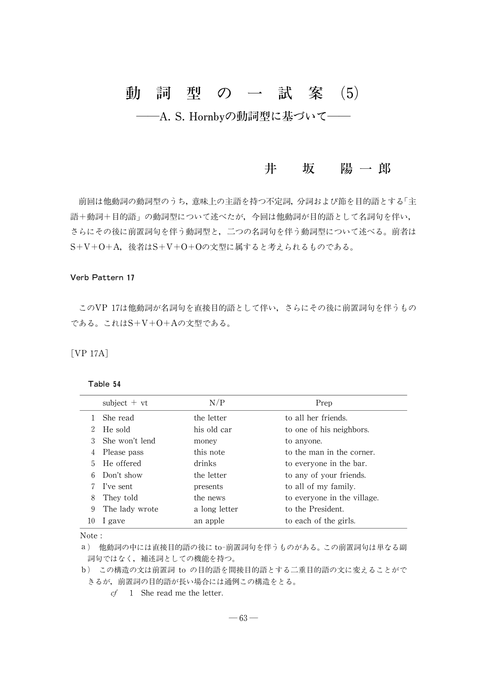# 動 詞 型 の 一 試 案 (5) - A. S. Hornbyの動詞型に基づいて-

## 井 坂 陽一郎

前回は他動詞の動詞型のうち、意味上の主語を持つ不定詞、分詞および節を目的語とする「主 語+動詞+目的語」の動詞型について述べたが、今回は他動詞が目的語として名詞句を伴い, さらにその後に前置詞句を伴う動詞型と,二つの名詞句を伴う動詞型について述べる。前者は S+V+O+A,後者はS+V+O+Oの文型に属すると考えられるものである。

#### Verb Pattern 17

このVP 17は他動詞が名詞句を直接目的語として伴い,さらにその後に前置詞句を伴うもの である。これはS+V+O+Aの文型である。

[VP 17A]

#### Table 54

|    | subject $+vt$  | N/P           | Prep                        |
|----|----------------|---------------|-----------------------------|
|    | She read       | the letter    | to all her friends.         |
|    | He sold        | his old car   | to one of his neighbors.    |
|    | She won't lend | money         | to anyone.                  |
| 4  | Please pass    | this note     | to the man in the corner.   |
| 5. | He offered     | drinks        | to everyone in the bar.     |
| 6  | Don't show     | the letter    | to any of your friends.     |
|    | I've sent      | presents      | to all of my family.        |
| 8  | They told      | the news      | to everyone in the village. |
| 9  | The lady wrote | a long letter | to the President.           |
| 10 | l gave         | an apple      | to each of the girls.       |

Note :

a) 他動詞の中には直接目的語の後に to-前置詞句を伴うものがある。この前置詞句は単なる副 詞句ではなく,補述詞としての機能を持つ。

b) この構造の文は前置詞 to の目的語を間接目的語とする二重目的語の文に変えることがで きるが,前置詞の目的語が長い場合には通例この構造をとる。

cf 1 She read me the letter.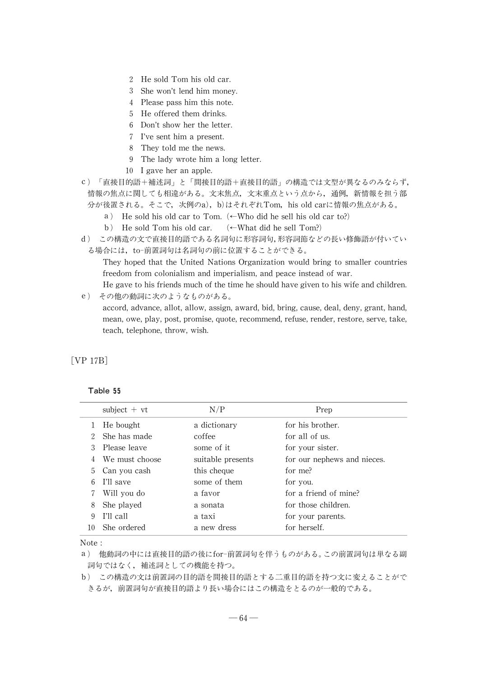- 2 He sold Tom his old car.
- 3 She won't lend him money.
- 4 Please pass him this note.
- 5 He offered them drinks.
- 6 Don't show her the letter.
- 7 I've sent him a present.
- 8 They told me the news.
- 9 The ladywrote him a long letter.
- 10 I gave her an apple.
- c) 「直接目的語+補述詞」と「間接目的語+直接目的語」の構造では文型が異なるのみならず, 情報の焦点に関しても相違がある。文末焦点,文末重点という点から,通例,新情報を担う部 分が後置される。そこで、次例のa),b)はそれぞれTom,his old carに情報の焦点がある。
	- a) He sold his old car to Tom.  $\left(\leftarrow$ Who did he sell his old car to?)
	- b) He sold Tom his old car. (←What did he sell Tom?)
- d) この構造の文で直接目的語である名詞句に形容詞句,形容詞節などの長い修飾語が付いてい る場合には、to-前置詞句は名詞句の前に位置することができる。

They hoped that the United Nations Organization would bring to smaller countries freedom from colonialism and imperialism, and peace instead of war.

He gave to his friends much of the time he should have given to his wife and children. e) その他の動詞に次のようなものがある。

accord, advance, allot, allow, assign, award, bid, bring, cause, deal, deny, grant, hand, mean, owe, play, post, promise, quote, recommend, refuse, render, restore, serve, take, teach, telephone, throw, wish.

[VP 17B]

#### Table 55

|    | subject $+vt$  | N/P               | Prep                        |
|----|----------------|-------------------|-----------------------------|
|    | He bought      | a dictionary      | for his brother.            |
|    | She has made   | coffee            | for all of us.              |
| 3  | Please leave   | some of it.       | for your sister.            |
| 4  | We must choose | suitable presents | for our nephews and nieces. |
| 5. | Can you cash   | this cheque       | for me?                     |
| 6  | I'll save      | some of them      | for you.                    |
|    | Will you do    | a favor           | for a friend of mine?       |
| 8  | She played     | a sonata          | for those children.         |
| 9  | I'll call      | a taxi            | for your parents.           |
| 10 | She ordered    | a new dress       | for herself.                |

Note :

a) 他動詞の中には直接目的語の後にfor-前置詞句を伴うものがある。この前置詞句は単なる副 詞句ではなく,補述詞としての機能を持つ。

b) この構造の文は前置詞の目的語を間接目的語とする二重目的語を持つ文に変えることがで きるが,前置詞句が直接目的語より長い場合にはこの構造をとるのが一般的である。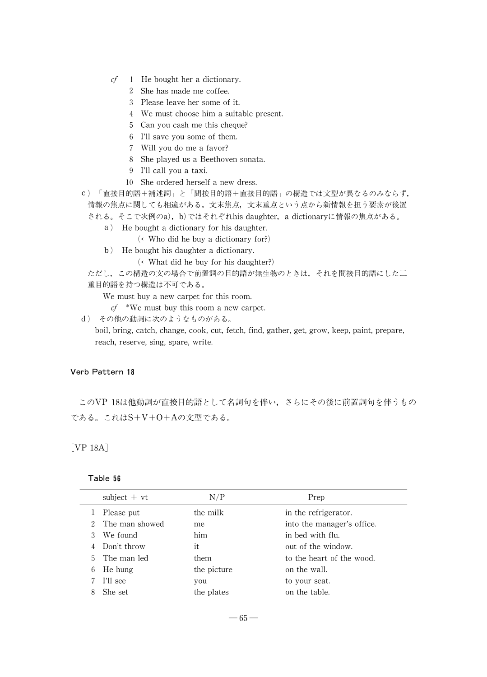- $cf$  1 He bought her a dictionary.
	- 2 She has made me coffee.
	- 3 Please leave her some of it.
	- 4 We must choose him a suitable present.
	- 5 Can you cash me this cheque?
	- 6 I'll save you some of them.
	- 7 Will you do me a favor?
	- 8 She played us a Beethoven sonata.
	- 9 I'll call you a taxi.
	- 10 She ordered herself a new dress.
- c) 「直接目的語+補述詞」と「間接目的語+直接目的語」の構造では文型が異なるのみならず, 情報の焦点に関しても相違がある。文末焦点,文末重点という点から新情報を担う要素が後置 される。そこで次例のa),b)ではそれぞれhis daughter, a dictionaryに情報の焦点がある。
	- a) He bought a dictionary for his daughter.
		- (←Who did he buy a dictionary for?)
	- b) He bought his daughter a dictionary.

 $(\leftarrow$ What did he buy for his daughter?)

ただし,この構造の文の場合で前置詞の目的語が無生物のときは,それを間接目的語にした二 重目的語を持つ構造は不可である。

We must buy a new carpet for this room.

 $cf$  \*We must buy this room a new carpet.

d) その他の動詞に次のようなものがある。

boil, bring, catch, change, cook, cut, fetch, find, gather, get, grow, keep, paint, prepare, reach, reserve, sing, spare, write.

#### Verb Pattern 18

このVP 18は他動詞が直接目的語として名詞句を伴い,さらにその後に前置詞句を伴うもの である。これはS+V+O+Aの文型である。

[VP 18A]

#### Table 56

|   | subject $+vt$  | N/P         | Prep                       |
|---|----------------|-------------|----------------------------|
|   | Please put     | the milk    | in the refrigerator.       |
|   | The man showed | me          | into the manager's office. |
| 3 | We found       | him         | in bed with flu.           |
| 4 | Don't throw    | it.         | out of the window.         |
|   | 5 The man led  | them        | to the heart of the wood.  |
| 6 | He hung        | the picture | on the wall.               |
|   | I'll see       | you         | to your seat.              |
| 8 | She set        | the plates  | on the table.              |
|   |                |             |                            |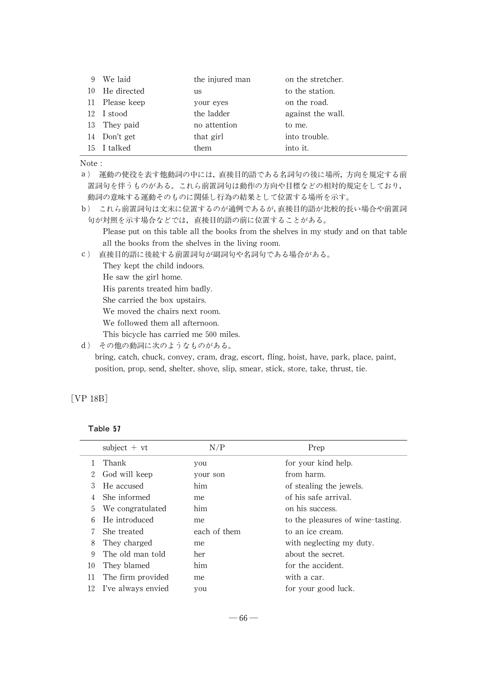| 9 We laid      | the injured man | on the stretcher. |
|----------------|-----------------|-------------------|
| 10 He directed | us              | to the station.   |
| 11 Please keep | your eyes       | on the road.      |
| 12 I stood     | the ladder      | against the wall. |
| 13 They paid   | no attention    | to me.            |
| 14 Don't get   | that girl       | into trouble.     |
| 15 I talked    | them            | into it.          |

Note :

a) 運動の使役を表す他動詞の中には,直接目的語である名詞句の後に場所,方向を規定する前 置詞句を伴うものがある。これら前置詞句は動作の方向や目標などの相対的規定をしており, 動詞の意味する運動そのものに関係し行為の結果として位置する場所を示す。

b) これら前置詞句は文末に位置するのが通例であるが,直接目的語が比較的長い場合や前置詞 句が対照を示す場合などでは,直接目的語の前に位置することがある。

Please put on this table all the books from the shelves in mystudyand on that table all the books from the shelves in the living room.

c) 直接目的語に後続する前置詞句が副詞句や名詞句である場合がある。

They kept the child indoors.

He saw the girl home.

His parents treated him badly.

She carried the box upstairs.

We moved the chairs next room.

We followed them all afternoon.

This bicycle has carried me 500 miles.

d) その他の動詞に次のようなものがある。

bring, catch, chuck, convey, cram, drag, escort, fling, hoist, have, park, place, paint, position, prop, send, shelter, shove, slip, smear, stick, store, take, thrust, tie.

## [VP 18B]

| able |  |
|------|--|
|------|--|

|    | subject $+vt$      | N/P          | Prep                              |
|----|--------------------|--------------|-----------------------------------|
|    | Thank              | you          | for your kind help.               |
| 2  | God will keep      | your son     | from harm.                        |
| 3  | He accused         | him          | of stealing the jewels.           |
| 4  | She informed       | me           | of his safe arrival.              |
| 5  | We congratulated   | him          | on his success.                   |
| 6  | He introduced      | me           | to the pleasures of wine-tasting. |
| 7  | She treated        | each of them | to an ice cream.                  |
| 8  | They charged       | me           | with neglecting my duty.          |
| 9  | The old man told   | her          | about the secret.                 |
| 10 | They blamed        | him          | for the accident.                 |
| 11 | The firm provided  | me           | with a car.                       |
| 12 | I've always envied | you          | for your good luck.               |
|    |                    |              |                                   |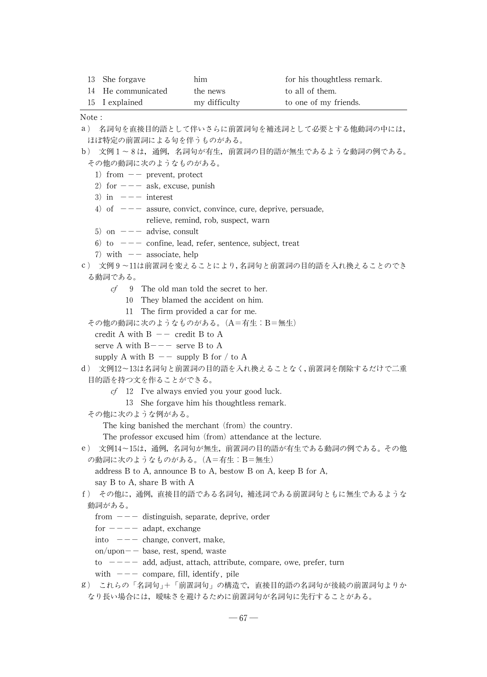| 13 She forgave     | him           | for his thoughtless remark. |
|--------------------|---------------|-----------------------------|
| 14 He communicated | the news      | to all of them.             |
| 15 I explained     | my difficulty | to one of my friends.       |

Note :

- a) 名詞句を直接目的語として伴いさらに前置詞句を補述詞として必要とする他動詞の中には, ほぼ特定の前置詞による句を伴うものがある。
- b) 文例1~8は,通例,名詞句が有生,前置詞の目的語が無生であるような動詞の例である。 その他の動詞に次のようなものがある。
	- 1) from  $--$  prevent, protect
	- 2) for  $---$  ask, excuse, punish
	- $3)$  in  $---$  interest
	- 4) of  $---$  assure, convict, convince, cure, deprive, persuade, relieve, remind, rob, suspect, warn
	- 5) on  $---$  advise, consult
	- 6) to  $---$  confine, lead, refer, sentence, subject, treat
	- 7) with  $-$  associate, help
- c) 文例9~11は前置詞を変えることにより,名詞句と前置詞の目的語を入れ換えることのでき る動詞である。
	- $cf$  9 The old man told the secret to her.
		- 10 They blamed the accident on him.
		- 11 The firm provided a car for me.
	- その他の動詞に次のようなものがある。(A=有生:B=無生)
		- credit A with  $B$   $-$  credit B to A
		- serve A with  $B---$  serve B to A
		- supply A with  $B$  -- supply B for / to A
- d) 文例12~13は名詞句と前置詞の目的語を入れ換えることなく,前置詞を削除するだけで二重 目的語を持つ文を作ることができる。
	- - $cf$  12 I've always envied you your good luck.
			- 13 She forgave him his thoughtless remark.
	- その他に次のような例がある。

The king banished the merchant (from) the country.

The professor excused him (from) attendance at the lecture.

- e) 文例14~15は,通例,名詞句が無生,前置詞の目的語が有生である動詞の例である。その他 の動詞に次のようなものがある。(A=有生:B=無生)
	- address  $B$  to  $A$ , announce  $B$  to  $A$ , bestow  $B$  on  $A$ , keep  $B$  for  $A$ ,

```
say B to A, share B with A
```
- f) その他に,通例,直接目的語である名詞句,補述詞である前置詞句ともに無生であるような 動詞がある。
	- - from  $---$  distinguish, separate, deprive, order
		- for  $---$  adapt, exchange
		- into  $---$  change, convert, make,
		- on/upon $-$  base, rest, spend, waste
		- to  $---$  add, adjust, attach, attribute, compare, owe, prefer, turn
		- with  $---$  compare, fill, identify, pile
- g) これらの「名詞句」+「前置詞句」の構造で,直接目的語の名詞句が後続の前置詞句よりか なり長い場合には,曖昧さを避けるために前置詞句が名詞句に先行することがある。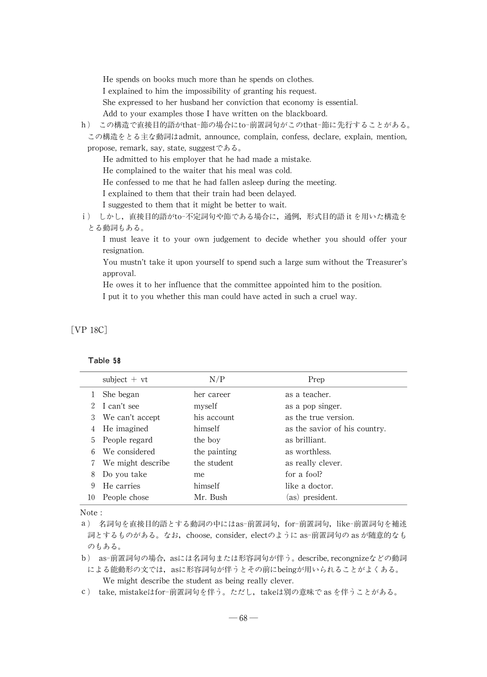He spends on books much more than he spends on clothes.

I explained to him the impossibility of granting his request.

She expressed to her husband her conviction that economy is essential.

Add to your examples those I have written on the blackboard.

h) この構造で直接目的語がthat-節の場合にto-前置詞句がこのthat-節に先行することがある。 この構造をとる主な動詞はadmit, announce, complain, confess, declare, explain, mention,

propose, remark, say, state, suggestである。

He admitted to his employer that he had made a mistake.

He complained to the waiter that his meal was cold.

He confessed to me that he had fallen asleep during the meeting.

I explained to them that their train had been delayed.

I suggested to them that it might be better to wait.

i) しかし,直接目的語がto-不定詞句や節である場合に,通例,形式目的語 itを用いた構造を とる動詞もある。

I must leave it to your own judgement to decide whether you should offer your resignation.

You mustn't take it upon yourself to spend such a large sum without the Treasurer's approval.

He owes it to her influence that the committee appointed him to the position.

I put it to you whether this man could have acted in such a cruel way.

## [VP 18C]

#### Table 58

|    | subject $+vt$      | N/P          | Prep                          |
|----|--------------------|--------------|-------------------------------|
|    | She began          | her career   | as a teacher.                 |
|    | I can't see        | myself       | as a pop singer.              |
| 3  | We can't accept    | his account. | as the true version.          |
| 4  | He imagined        | himself      | as the savior of his country. |
| 5. | People regard      | the boy      | as brilliant.                 |
|    | We considered      | the painting | as worthless.                 |
|    | We might describe. | the student  | as really clever.             |
| 8  | Do you take        | me           | for a fool?                   |
| 9  | He carries         | himself      | like a doctor.                |
| 10 | People chose       | Mr. Bush     | (as) president.               |

Note :

a) 名詞句を直接目的語とする動詞の中にはas-前置詞句,for-前置詞句,like-前置詞句を補述 詞とするものがある。なお, choose, consider, electのように as-前置詞句の as が随意的なも のもある。

b) as-前置詞句の場合,asには名詞句または形容詞句が伴う。describe,recongnizeなどの動詞

による能動形の文では,asに形容詞句が伴うとその前にbeingが用いられることがよくある。 We might describe the student as being really clever.

c) take, mistakeはfor-前置詞句を伴う。ただし, takeは別の意味で as を伴うことがある。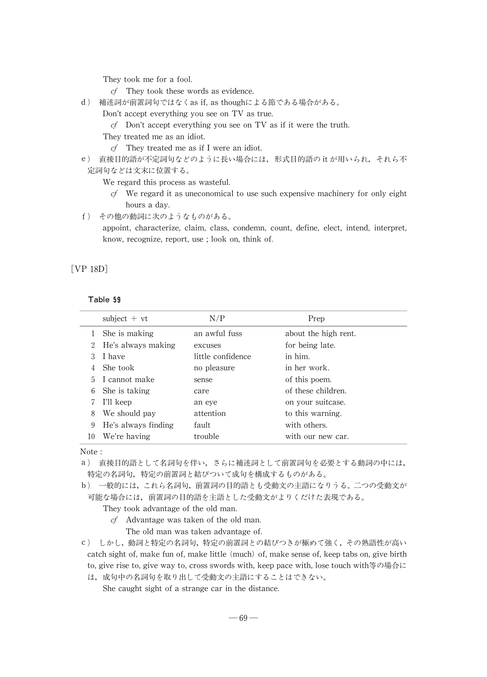They took me for a fool.

- cf They took these words as evidence.
- d) 補述詞が前置詞句ではなくas if,as thoughによる節である場合がある。
	- Don't accept everything you see on TV as true.
		- cf Don't accept everything you see on TV as if it were the truth.
	- They treated me as an idiot.
		- $cf$  They treated me as if I were an idiot.
- e) 直接目的語が不定詞句などのように長い場合には,形式目的語の itが用いられ,それら不 定詞句などは文末に位置する。

We regard this process as wasteful.

- $cf$  We regard it as uneconomical to use such expensive machinery for only eight hours a day.
- f) その他の動詞に次のようなものがある。

appoint, characterize, claim, class, condemn, count, define, elect, intend, interpret, know, recognize, report, use ; look on, think of.

## [VP 18D]

#### Table 59

|    | subject $+vt$       | N/P               | Prep                 |
|----|---------------------|-------------------|----------------------|
|    | She is making       | an awful fuss     | about the high rent. |
| 2  | He's always making  | excuses           | for being late.      |
| 3  | I have              | little confidence | in him.              |
| 4  | She took            | no pleasure       | in her work.         |
| 5  | I cannot make       | sense             | of this poem.        |
| 6  | She is taking       | care              | of these children.   |
|    | I'll keep           | an eye            | on your suitcase.    |
| 8  | We should pay       | attention         | to this warning.     |
| 9  | He's always finding | fault.            | with others.         |
| 10 | We're having        | trouble           | with our new car.    |

Note :

a) 直接目的語として名詞句を伴い,さらに補述詞として前置詞句を必要とする動詞の中には, 特定の名詞句,特定の前置詞と結びついて成句を構成するものがある。

b) 一般的には,これら名詞句,前置詞の目的語とも受動文の主語になりうる。二つの受動文が 可能な場合には,前置詞の目的語を主語とした受動文がよりくだけた表現である。

They took advantage of the old man.

 $cf$  Advantage was taken of the old man.

The old man was taken advantage of.

c) しかし,動詞と特定の名詞句,特定の前置詞との結びつきが極めて強く,その熟語性が高い catch sight of, make fun of, make little (much) of, make sense of, keep tabs on, give birth to, give rise to, give way to, cross swords with, keep pace with, lose touch with等の場合に

は,成句中の名詞句を取り出して受動文の主語にすることはできない。

She caught sight of a strange car in the distance.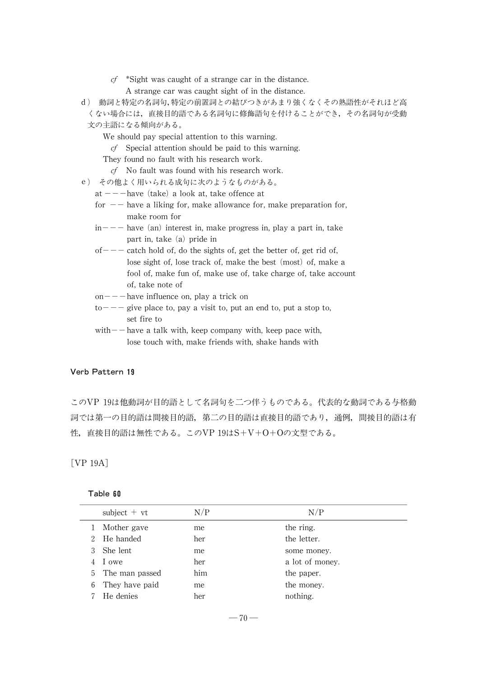- $cf$  \*Sight was caught of a strange car in the distance. A strange car was caught sight of in the distance.
- d) 動詞と特定の名詞句,特定の前置詞との結びつきがあまり強くなくその熟語性がそれほど高 くない場合には,直接目的語である名詞句に修飾語句を付けることができ,その名詞句が受動 文の主語になる傾向がある。
	- We should pay special attention to this warning.
		- $cf$  Special attention should be paid to this warning.

They found no fault with his research work.

- cf No fault was found with his research work.
- e) その他よく用いられる成句に次のようなものがある。
	- at  $---$ have (take) a look at, take offence at
	- for  $-$  have a liking for, make allowance for, make preparation for, make room for
	- $in---$  have (an) interest in, make progress in, play a part in, take part in, take  $(a)$  pride in
	- $of---$  catch hold of, do the sights of, get the better of, get rid of, lose sight of, lose track of, make the best (most) of, make a fool of, make fun of, make use of, take charge of, take account of, take note of
	- $on--$ have influence on, play a trick on
	- $to---$  give place to, pay a visit to, put an end to, put a stop to, set fire to
	- $with$  have a talk with, keep company with, keep pace with, lose touch with, make friends with, shake hands with

#### Verb Pattern 19

このVP 19は他動詞が目的語として名詞句を二つ伴うものである。代表的な動詞である与格動 詞では第一の目的語は間接目的語,第二の目的語は直接目的語であり,通例,間接目的語は有 性,直接目的語は無性である。このVP 19はS+V+O+Oの文型である。

[VP 19A]

| able |  | n<br>ĥ. |
|------|--|---------|
|------|--|---------|

|   | $subject + vt$   | N/P | N/P             |
|---|------------------|-----|-----------------|
|   | Mother gave      | me  | the ring.       |
|   | He handed        | her | the letter.     |
| 3 | She lent         | me  | some money.     |
|   | 1 owe            | her | a lot of money. |
|   | 5 The man passed | him | the paper.      |
| 6 | They have paid   | me  | the money.      |
|   | He denies        | her | nothing.        |
|   |                  |     |                 |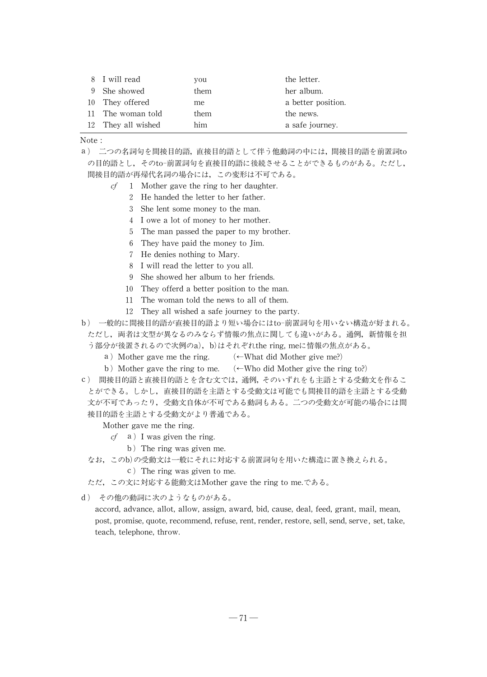| 8 I will read      | you  | the letter.        |
|--------------------|------|--------------------|
| 9 She showed       | them | her album.         |
| 10 They offered    | me   | a better position. |
| 11 The woman told  | them | the news.          |
| 12 They all wished | him  | a safe journey.    |

Note :

a) 二つの名詞句を間接目的語,直接目的語として伴う他動詞の中には,間接目的語を前置詞to の目的語とし,そのto-前置詞句を直接目的語に後続させることができるものがある。ただし, 間接目的語が再帰代名詞の場合には,この変形は不可である。

- $cf \quad 1$  Mother gave the ring to her daughter.
	- 2 He handed the letter to her father.
	- 3 She lent some money to the man.
	- 4 I owe a lot of money to her mother.
	- 5 The man passed the paper to my brother.
	- 6 They have paid the money to Jim.
	- 7 He denies nothing to Mary.
	- 8 I will read the letter to you all.
	- 9 She showed her album to her friends.
	- 10 They offerd a better position to the man.
	- 11 The woman told the news to all of them.
	- 12 They all wished a safe journey to the party.
- b) 一般的に間接目的語が直接目的語より短い場合にはto-前置詞句を用いない構造が好まれる。 ただし,両者は文型が異なるのみならず情報の焦点に関しても違いがある。通例,新情報を担
	- う部分が後置されるので次例のa),b)はそれぞれthe ring, meに情報の焦点がある。
		- a) Mother gave me the ring.  $\leftarrow$ What did Mother give me?)
		- b) Mother gave the ring to me.  $\leftarrow$  Who did Mother give the ring to?)
- c) 間接目的語と直接目的語とを含む文では,通例,そのいずれをも主語とする受動文を作るこ とができる。しかし,直接目的語を主語とする受動文は可能でも間接目的語を主語とする受動 文が不可であったり,受動文自体が不可である動詞もある。二つの受動文が可能の場合には間 接目的語を主語とする受動文がより普通である。

Mother gave me the ring.

- $cf$  a) I was given the ring.
	- b) The ring was given me.
- なお,このb)の受動文は一般にそれに対応する前置詞句を用いた構造に置き換えられる。
	- c) The ring was given to me.
- ただ,この文に対応する能動文はMother gave the ring to me.である。
- d) その他の動詞に次のようなものがある。

accord, advance, allot, allow, assign, award, bid, cause, deal, feed, grant, mail, mean, post, promise, quote, recommend, refuse, rent, render, restore, sell, send, serve, set, take, teach, telephone, throw.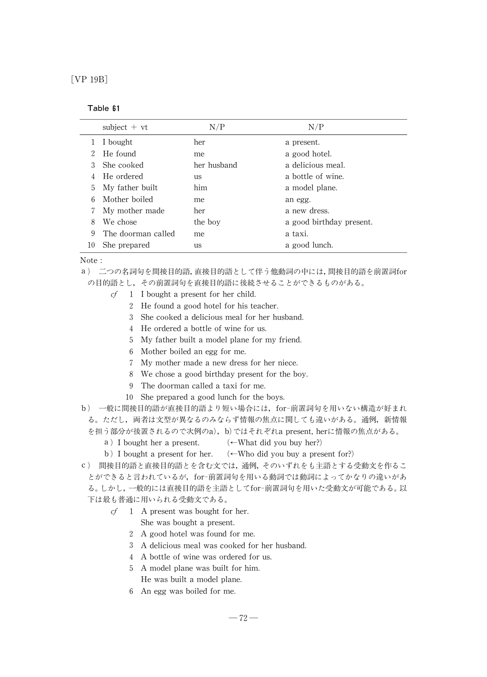[VP 19B]

## Table 61

|                             | subject $+vt$      | N/P         | N/P                      |
|-----------------------------|--------------------|-------------|--------------------------|
|                             | I bought           | her         | a present.               |
| $\mathcal{D}_{\mathcal{L}}$ | He found           | me          | a good hotel.            |
|                             | She cooked         | her husband | a delicious meal.        |
| 4                           | He ordered         | us          | a bottle of wine.        |
| 5                           | My father built    | him         | a model plane.           |
| 6                           | Mother boiled      | me          | an egg.                  |
|                             | My mother made     | her         | a new dress.             |
| 8                           | We chose           | the boy     | a good birthday present. |
| 9                           | The doorman called | me          | a taxi.                  |
| 10                          | She prepared       | us          | a good lunch.            |

Note :

a) 二つの名詞句を間接目的語,直接目的語として伴う他動詞の中には,間接目的語を前置詞for

の目的語とし,その前置詞句を直接目的語に後続させることができるものがある。

- $cf$  1 I bought a present for her child.
	- 2 He found a good hotel for his teacher.
	- 3 She cooked a delicious meal for her husband.
	- 4 He ordered a bottle of wine for us.
	- 5 My father built a model plane for my friend.
	- 6 Mother boiled an egg for me.
	- 7 Mymother made a new dress for her niece.
	- 8 We chose a good birthday present for the boy.
	- 9 The doorman called a taxi for me.
	- 10 She prepared a good lunch for the boys.

b) 一般に間接目的語が直接目的語より短い場合には,for-前置詞句を用いない構造が好まれ る。ただし,両者は文型が異なるのみならず情報の焦点に関しても違いがある。通例,新情報 を担う部分が後置されるので次例のa),b)ではそれぞれa present,herに情報の焦点がある。

- a) I bought her a present.  $\leftarrow$  What did you buy her?)
- b) I bought a present for her. (←Who did you buy a present for?)
- c) 間接目的語と直接目的語とを含む文では,通例,そのいずれをも主語とする受動文を作るこ

とができると言われているが,for-前置詞句を用いる動詞では動詞によってかなりの違いがあ る。しかし,一般的には直接目的語を主語としてfor-前置詞句を用いた受動文が可能である。以 下は最も普通に用いられる受動文である。

 $cf \quad 1$  A present was bought for her.

She was bought a present.

- 2 A good hotel was found for me.
- 3 A delicious meal was cooked for her husband.
- 4 A bottle of wine was ordered for us.
- 5 A model plane was built for him.
	- He was built a model plane.
- 6 An egg was boiled for me.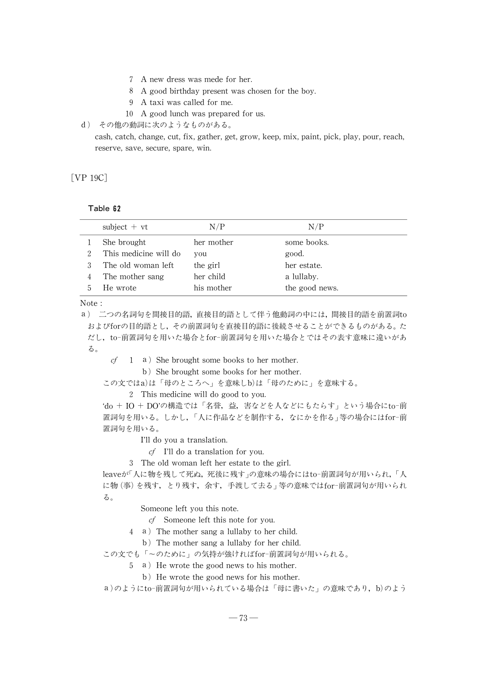- 7 A new dress was mede for her.
- 8 A good birthday present was chosen for the boy.
- 9 A taxi was called for me.
- 10 A good lunch was prepared for us.
- d) その他の動詞に次のようなものがある。

cash, catch, change, cut, fix, gather, get, grow, keep, mix, paint, pick, play, pour, reach, reserve, save, secure, spare, win.

[VP 19C]

### Table 62

|     | subject $+vt$         | N/P        | N/P            |
|-----|-----------------------|------------|----------------|
|     | She brought           | her mother | some books.    |
|     | This medicine will do | you        | good.          |
|     | The old woman left    | the girl   | her estate.    |
|     | The mother sang       | her child  | a lullaby.     |
| 'n. | He wrote              | his mother | the good news. |

Note :

a) 二つの名詞句を間接目的語,直接目的語として伴う他動詞の中には,間接目的語を前置詞to およびforの目的語とし,その前置詞句を直接目的語に後続させることができるものがある。た だし,to-前置詞句を用いた場合とfor-前置詞句を用いた場合とではその表す意味に違いがあ る。

 $cf \quad 1 \quad a$ ) She brought some books to her mother.

b) She brought some books for her mother.

この文ではa)は「母のところへ」を意味しb)は「母のために」を意味する。

2 This medicine will do good to you.

'do + IO + DO'の構造では「名誉,益, 害などを人などにもたらす」という場合にto-前 置詞句を用いる。しかし、「人に作品などを制作する, なにかを作る」等の場合にはfor-前 置詞句を用いる。

I'll do you a translation.

 $cf$  I'll do a translation for you.

3 The old woman left her estate to the girl.

leaveが「人に物を残して死ぬ,死後に残す」の意味の場合にはto-前置詞句が用いられ,「人 に物(事)を残す, とり残す, 余す, 手渡して去る」等の意味ではfor-前置詞句が用いられ る。

Someone left you this note.

cf Someone left this note for you.

4 a) The mother sang a lullaby to her child.

b) The mother sang a lullaby for her child.

この文でも「~のために」の気持が強ければfor-前置詞句が用いられる。

5 a) He wrote the good news to his mother.

b) He wrote the good news for his mother.

a)のようにto-前置詞句が用いられている場合は「母に書いた」の意味であり,b)のよう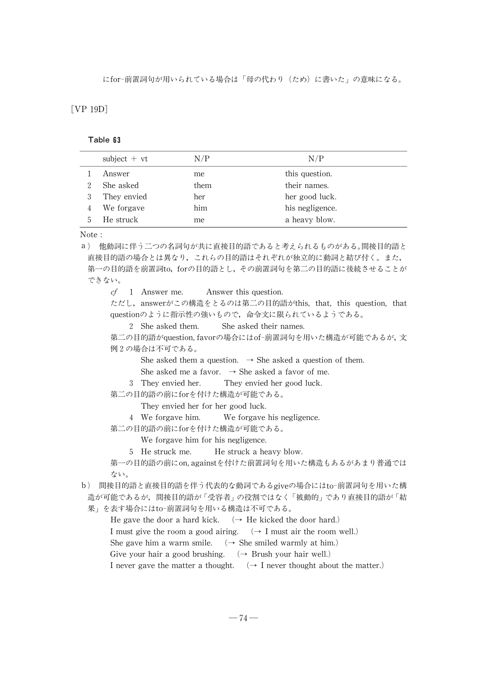にfor-前置詞句が用いられている場合は「母の代わり(ため)に書いた」の意味になる。

## [VP 19D]

#### Table 63

| subject $+vt$ | N/P  | N/P             |
|---------------|------|-----------------|
| Answer        | me   | this question.  |
| She asked     | them | their names.    |
| They envied   | her  | her good luck.  |
| We forgave    | him  | his negligence. |
| He struck     | me   | a heavy blow.   |

Note :

a) 他動詞に伴う二つの名詞句が共に直接目的語であると쬠えられるものがある。間接目的語と 直接目的語の場合とは異なり,これらの目的語はそれぞれが独立的に動詞と結び付く。また, 第一の目的語を前置詞to, forの目的語とし,その前置詞句を第二の目的語に後続させることが できない。 cf 1 Answer me. Answer this question. ただし, answerがこの構造をとるのは第二の目的語がthis, that, this question, that questionのように指示性の強いもので,命令文に限られているようである。 2 She asked them. She asked their names. 第二の目的語がquestion,favorの場合にはof-前置詞句を用いた構造が可能であるが,文 例2の場合は不可である。 She asked them a question.  $\rightarrow$  She asked a question of them. She asked me a favor.  $\rightarrow$  She asked a favor of me. 3 They envied her. They envied her good luck. 第二の目的語の前にforを付けた構造が可能である。

They envied her for her good luck.

4 We forgave him. We forgave his negligence.

第二の目的語の前にforを付けた構造が可能である。

We forgave him for his negligence.

5 He struck me. He struck a heavy blow.

第一の目的語の前にon,againstを付けた前置詞句を用いた構造もあるがあまり普通では ない。

b) 間接目的語と直接目的語を伴う代表的な動詞であるgiveの場合にはto-前置詞句を用いた構 造が可能であるが、間接目的語が「受容者」の役割ではなく「被動的」であり直接目的語が「結

果」を表す場合にはto-前置詞句を用いる構造は不可である。

He gave the door a hard kick.  $\rightarrow$  He kicked the door hard.)

I must give the room a good airing.  $\rightarrow$  I must air the room well.)

She gave him a warm smile.  $\rightarrow$  She smiled warmly at him.)

Give your hair a good brushing.  $\rightarrow$  Brush your hair well.)

I never gave the matter a thought.  $\rightarrow$  I never thought about the matter.)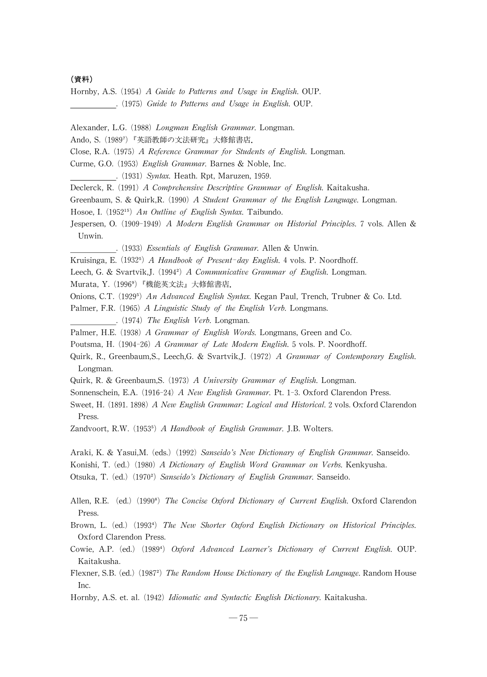#### (資料)

Hornby, A.S. (1954) A Guide to Patterns and Usage in English. OUP. .(1975)Guide to Patterns and Usage in English. OUP.

Alexander, L.G. (1988) Longman English Grammar. Longman.

Ando, S. (1989<sup>7</sup>) 『英語教師の文法研究』大修館書店.

Close, R.A. (1975) A Reference Grammar for Students of English. Longman.

Curme, G.O. (1953) English Grammar. Barnes & Noble, Inc.

. (1931) Syntax. Heath. Rpt, Maruzen, 1959.

Declerck, R. (1991) A Comprehensive Descriptive Grammar of English. Kaitakusha.

Greenbaum, S. & Quirk, R. (1990) A Student Grammar of the English Language. Longman.

Hosoe, I. (1952<sup>15</sup>) An Outline of English Syntax. Taibundo.

Jespersen, O. (1909-1949) A Modern English Grammar on Historial Principles. 7 vols. Allen & Unwin.

.(1933)Essentials of English Grammar. Allen & Unwin.

Kruisinga, E. (1932<sup>5</sup>) A Handbook of Present-day English. 4 vols. P. Noordhoff.

Leech, G. & Svartvik,J. (1994<sup>2</sup>) A Communicative Grammar of English. Longman.

Murata, Y. (1996<sup>9</sup>) 『機能英文法』大修館書店.

Onions, C.T. (1929<sup>5</sup>) An Advanced English Syntax. Kegan Paul, Trench, Trubner & Co. Ltd.

Palmer, F.R. (1965) A Linguistic Study of the English Verb. Longmans. . (1974) The English Verb. Longman.

Palmer, H.E. (1938) A Grammar of English Words. Longmans, Green and Co.

Poutsma, H. (1904-26) A Grammar of Late Modern English. 5 vols. P. Noordhoff.

Quirk, R., Greenbaum,S., Leech,G. & Svartvik,J. (1972) A Grammar of Contemporary English. Longman.

Quirk, R. & Greenbaum, S. (1973) A University Grammar of English. Longman.

Sonnenschein, E.A. (1916-24) A New English Grammar. Pt. 1-3. Oxford Clarendon Press.

Sweet, H. (1891. 1898) A New English Grammar: Logical and Historical. 2 vols. Oxford Clarendon Press.

Zandvoort, R.W. (1953<sup>5</sup>) A Handbook of English Grammar. J.B. Wolters.

Araki, K. & Yasui, M. (eds.) (1992) Sanseido's New Dictionary of English Grammar. Sanseido.

Konishi, T. (ed.) (1980) A Dictionary of English Word Grammar on Verbs. Kenkyusha.

Otsuka, T. (ed.) (1970<sup>2</sup>) Sanseido's Dictionary of English Grammar. Sanseido.

Allen, R.E. (ed.) (1990<sup>8</sup>) The Concise Oxford Dictionary of Current English. Oxford Clarendon Press.

Brown, L. (ed.) (1993<sup>4</sup>) The New Shorter Oxford English Dictionary on Historical Principles. Oxford Clarendon Press.

Cowie, A.P. (ed.) (1989<sup>4</sup>) Oxford Advanced Learner's Dictionary of Current English. OUP. Kaitakusha.

Flexner, S.B. (ed.) (1987<sup>2</sup>) The Random House Dictionary of the English Language. Random House Inc.

Hornby, A.S. et. al. (1942) Idiomatic and Syntactic English Dictionary. Kaitakusha.